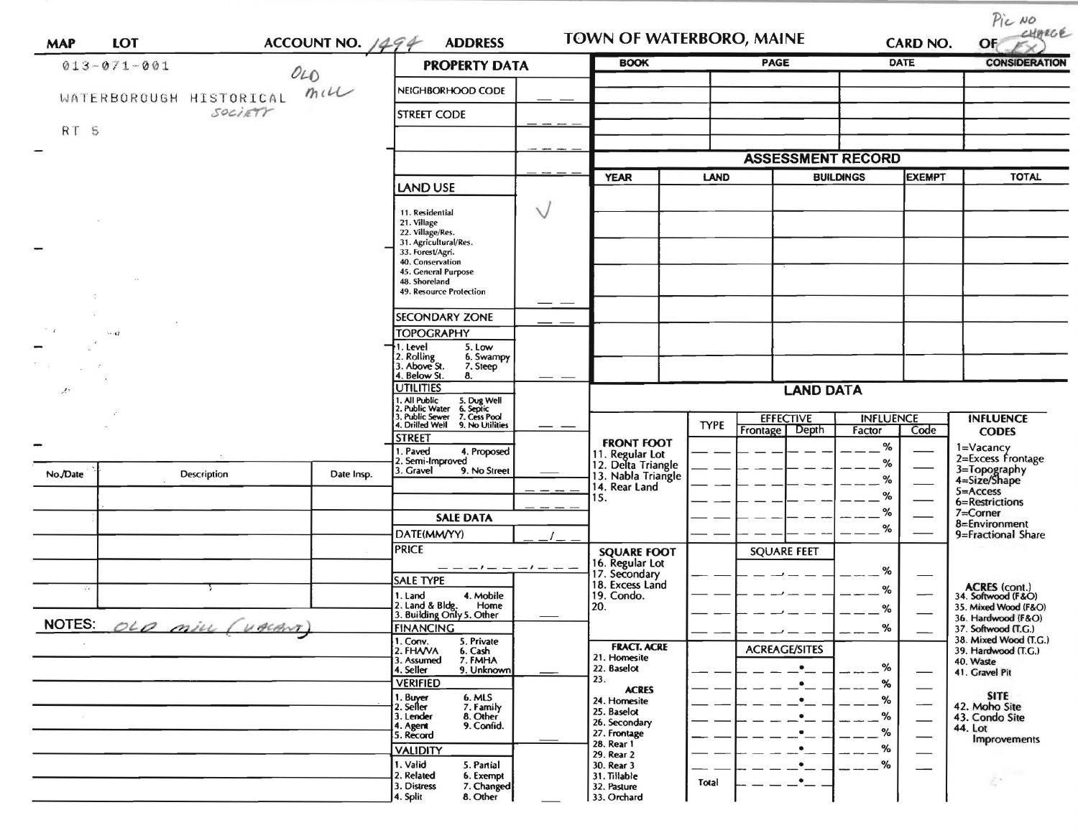| <b>MAP</b>        | <b>LOT</b>                     | ACCOUNT NO. $1494$ | <b>ADDRESS</b>                                                                         |              | TOWN OF WATERBORO, MAINE              |             |                                    | <b>CARD NO.</b>            |               | Pic NO<br>CHARGE<br>OF                                      |
|-------------------|--------------------------------|--------------------|----------------------------------------------------------------------------------------|--------------|---------------------------------------|-------------|------------------------------------|----------------------------|---------------|-------------------------------------------------------------|
| $013 - 071 - 001$ |                                | 010                | <b>PROPERTY DATA</b>                                                                   |              | <b>BOOK</b>                           |             | <b>PAGE</b>                        |                            | <b>DATE</b>   | <b>CONSIDERATION</b>                                        |
|                   | m1U<br>WATERBOROUGH HISTORICAL | NEIGHBORHOOD CODE  |                                                                                        |              |                                       |             |                                    |                            |               |                                                             |
|                   | SOCIETY                        |                    | STREET CODE                                                                            |              |                                       |             |                                    |                            |               |                                                             |
| RT 5              |                                |                    |                                                                                        |              |                                       |             |                                    |                            |               |                                                             |
|                   |                                |                    |                                                                                        |              |                                       |             | <b>ASSESSMENT RECORD</b>           |                            |               |                                                             |
|                   |                                |                    |                                                                                        |              | <b>YEAR</b>                           | LAND        |                                    | <b>BUILDINGS</b>           | <b>EXEMPT</b> | <b>TOTAL</b>                                                |
|                   |                                |                    | <b>LAND USE</b>                                                                        |              |                                       |             |                                    |                            |               |                                                             |
|                   |                                |                    | 11. Residential                                                                        | $\checkmark$ |                                       |             |                                    |                            |               |                                                             |
|                   |                                |                    | 21. Village<br>22. Village/Res.                                                        |              |                                       |             |                                    |                            |               |                                                             |
|                   |                                |                    | 31. Agricultural/Res.<br>33. Forest/Agri.                                              |              |                                       |             |                                    |                            |               |                                                             |
|                   |                                |                    | 40. Conservation<br>45. General Purpose                                                |              |                                       |             |                                    |                            |               |                                                             |
|                   |                                |                    | 48. Shoreland<br>49. Resource Protection                                               |              |                                       |             |                                    |                            |               |                                                             |
|                   |                                |                    | <b>SECONDARY ZONE</b>                                                                  |              |                                       |             |                                    |                            |               |                                                             |
| $\cdots$          |                                |                    | <b>TOPOGRAPHY</b>                                                                      |              |                                       |             |                                    |                            |               |                                                             |
|                   |                                |                    | 11. Level<br>5. Low<br>6. Swampy                                                       |              |                                       |             |                                    |                            |               |                                                             |
|                   |                                |                    | 2. Rolling<br>3. Above St.<br>7. Steep<br>4. Below St.<br>8.                           |              |                                       |             |                                    |                            |               |                                                             |
|                   |                                |                    | <b>UTILITIES</b>                                                                       |              |                                       |             | <b>LAND DATA</b>                   |                            |               |                                                             |
|                   |                                |                    | 1. All Public 5. Dug Well<br>2. Public Water 6. Septic<br>3. Public Sewer 7. Cess Pool |              |                                       |             |                                    |                            |               |                                                             |
|                   |                                |                    | 4. Drilled Well 9. No Utilities                                                        |              |                                       | <b>TYPE</b> | <b>EFFECTIVE</b><br>Frontage Depth | <b>INFLUENCE</b><br>Factor | Code          | <b>INFLUENCE</b><br><b>CODES</b>                            |
|                   |                                |                    | <b>STREET</b><br>1. Paved<br>4. Proposed                                               |              | <b>FRONT FOOT</b><br>11. Regular Lot  |             |                                    | %                          |               | 1=Vacancy<br>2=Excess Frontage                              |
|                   |                                |                    | 2. Semi-Improved<br>3. Gravel<br>9. No Street                                          |              | 12. Delta Triangle                    |             |                                    | %                          |               |                                                             |
| No./Date          | Description                    | Date Insp.         |                                                                                        |              | 13. Nabla Triangle<br>14. Rear Land   |             |                                    | %                          |               | 3=Topography<br>4=Size/Shape<br>5=Access                    |
|                   |                                |                    |                                                                                        |              | 15.                                   |             |                                    | %<br>%                     |               | 6=Restrictions                                              |
|                   |                                |                    | <b>SALE DATA</b>                                                                       |              |                                       |             |                                    | %                          |               | $7 =$ Corner<br>8=Environment                               |
|                   |                                |                    | DATE(MM/YY)<br><b>PRICE</b>                                                            |              |                                       |             |                                    |                            |               | 9=Fractional Share                                          |
|                   |                                |                    | — — — ! — — — ! — —                                                                    |              | <b>SQUARE FOOT</b><br>16. Regular Lot |             | <b>SOUARE FEET</b>                 |                            |               |                                                             |
|                   |                                |                    | <b>SALE TYPE</b>                                                                       |              | 17. Secondary<br>18. Excess Land      |             |                                    | %<br>%                     |               |                                                             |
|                   |                                |                    | 1. Land<br>4. Mobile<br>Home                                                           |              | 19. Condo.<br>20.                     |             |                                    | %                          |               | ACRES (cont.)<br>34. Softwood (F&O)<br>35. Mixed Wood (F&O) |
| <b>NOTES:</b>     | OLO min<br>UACANT              |                    | 2. Land & Bldg. Home<br>3. Building Only 5. Other<br><b>FINANCING</b>                  |              |                                       |             |                                    | %                          |               | 36. Hardwood (F&O)                                          |
|                   |                                |                    | 1. Conv.<br>2. FHA/VA<br>5. Private                                                    |              | <b>FRACT. ACRE</b>                    |             |                                    |                            |               | 37. Softwood (T.G.)<br>38. Mixed Wood (T.G.)                |
|                   |                                |                    | 6. Cash<br>7. FMHA<br>9. Unknown<br>3. Assumed                                         |              | 21. Homesite                          |             | <b>ACREAGE/SITES</b>               |                            |               | 39. Hardwood (T.G.)<br>40. Waste                            |
|                   |                                |                    | 4. Seller<br><b>VERIFIED</b>                                                           |              | 22. Baselot<br>23.                    |             | $\bullet$<br>$\bullet$             | %<br>%                     |               | 41. Gravel Pit                                              |
|                   |                                |                    | 1. Buyer<br>6. MLS                                                                     |              | <b>ACRES</b><br>24. Homesite          |             |                                    | %                          |               | <b>SITE</b>                                                 |
|                   |                                |                    | 2. Seller<br>7. Family<br>8. Other<br>3. Lender                                        |              | 25. Baselot<br>26. Secondary          |             |                                    | %                          |               | 42. Moho Site<br>43. Condo Site                             |
|                   |                                |                    | 4. Agent<br>9. Confid.<br>5. Record                                                    |              | 27. Frontage<br>28. Rear 1            |             |                                    | %                          |               | 44. Lot<br><b>Improvements</b>                              |
|                   |                                |                    | <b>VALIDITY</b>                                                                        |              | 29. Rear 2                            |             |                                    | %                          |               |                                                             |
|                   |                                |                    | 1. Valid<br>5. Partial<br>2. Related<br>6. Exempt                                      |              | 30. Rear 3<br>31. Tillable            | Total       | $\bullet$                          | %                          |               | $\mathcal{L}^{\mathcal{A}}$                                 |
|                   |                                |                    | 3. Distress<br>7. Changed<br>8. Other<br>4. Split                                      |              | 32. Pasture<br>33. Orchard            |             |                                    |                            |               |                                                             |